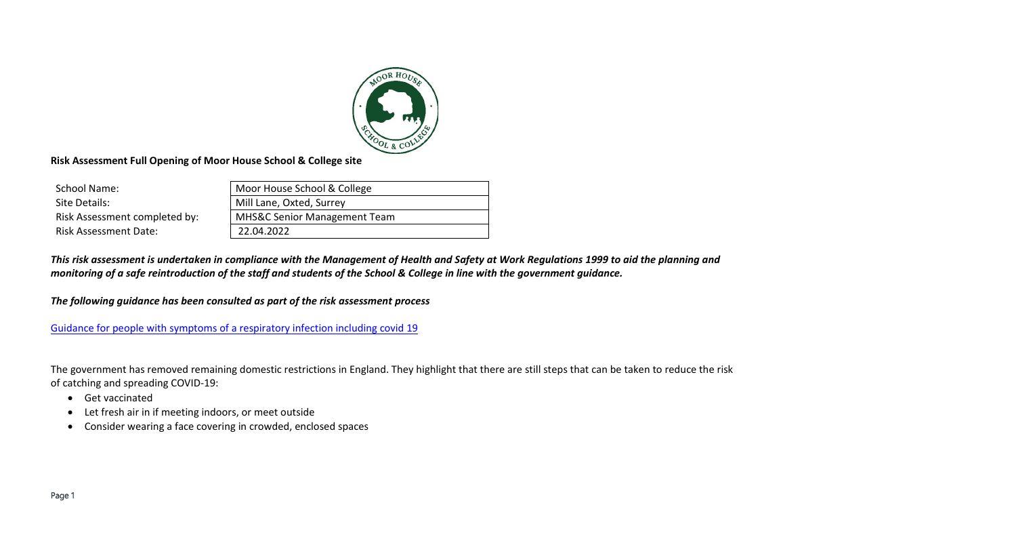

## **Risk Assessment Full Opening of Moor House School & College site**

| School Name:                  | Moor House School & College             |
|-------------------------------|-----------------------------------------|
| Site Details:                 | Mill Lane, Oxted, Surrey                |
| Risk Assessment completed by: | <b>MHS&amp;C Senior Management Team</b> |
| <b>Risk Assessment Date:</b>  | 22.04.2022                              |

*This risk assessment is undertaken in compliance with the Management of Health and Safety at Work Regulations 1999 to aid the planning and monitoring of a safe reintroduction of the staff and students of the School & College in line with the government guidance.* 

*The following guidance has been consulted as part of the risk assessment process*

[Guidance for people with symptoms of a respiratory infection including covid 19](https://www.gov.uk/guidance/people-with-symptoms-of-a-respiratory-infection-including-covid-19)

The government has removed remaining domestic restrictions in England. They highlight that there are still steps that can be taken to reduce the risk of catching and spreading COVID-19:

- Get vaccinated
- Let fresh air in if meeting indoors, or meet outside
- Consider wearing a face covering in crowded, enclosed spaces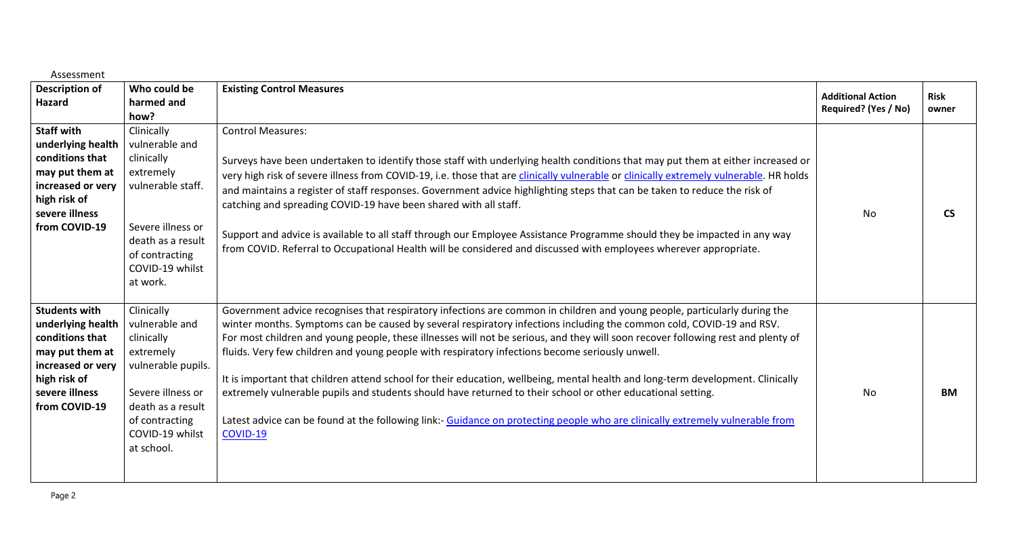| <b>Description of</b><br>Hazard                                                                                                                         | Who could be<br>harmed and<br>how?                                                                                                                                         | <b>Existing Control Measures</b>                                                                                                                                                                                                                                                                                                                                                                                                                                                                                                                                                                                                                                                                                                                                                                                                                                                        | <b>Additional Action</b><br>Required? (Yes / No) | <b>Risk</b><br>owner |
|---------------------------------------------------------------------------------------------------------------------------------------------------------|----------------------------------------------------------------------------------------------------------------------------------------------------------------------------|-----------------------------------------------------------------------------------------------------------------------------------------------------------------------------------------------------------------------------------------------------------------------------------------------------------------------------------------------------------------------------------------------------------------------------------------------------------------------------------------------------------------------------------------------------------------------------------------------------------------------------------------------------------------------------------------------------------------------------------------------------------------------------------------------------------------------------------------------------------------------------------------|--------------------------------------------------|----------------------|
| <b>Staff with</b><br>underlying health<br>conditions that<br>may put them at<br>increased or very<br>high risk of<br>severe illness<br>from COVID-19    | Clinically<br>vulnerable and<br>clinically<br>extremely<br>vulnerable staff.<br>Severe illness or<br>death as a result<br>of contracting<br>COVID-19 whilst<br>at work.    | <b>Control Measures:</b><br>Surveys have been undertaken to identify those staff with underlying health conditions that may put them at either increased or<br>very high risk of severe illness from COVID-19, i.e. those that are clinically vulnerable or clinically extremely vulnerable. HR holds<br>and maintains a register of staff responses. Government advice highlighting steps that can be taken to reduce the risk of<br>catching and spreading COVID-19 have been shared with all staff.<br>Support and advice is available to all staff through our Employee Assistance Programme should they be impacted in any way<br>from COVID. Referral to Occupational Health will be considered and discussed with employees wherever appropriate.                                                                                                                                | No                                               | <b>CS</b>            |
| <b>Students with</b><br>underlying health<br>conditions that<br>may put them at<br>increased or very<br>high risk of<br>severe illness<br>from COVID-19 | Clinically<br>vulnerable and<br>clinically<br>extremely<br>vulnerable pupils.<br>Severe illness or<br>death as a result<br>of contracting<br>COVID-19 whilst<br>at school. | Government advice recognises that respiratory infections are common in children and young people, particularly during the<br>winter months. Symptoms can be caused by several respiratory infections including the common cold, COVID-19 and RSV.<br>For most children and young people, these illnesses will not be serious, and they will soon recover following rest and plenty of<br>fluids. Very few children and young people with respiratory infections become seriously unwell.<br>It is important that children attend school for their education, wellbeing, mental health and long-term development. Clinically<br>extremely vulnerable pupils and students should have returned to their school or other educational setting.<br>Latest advice can be found at the following link:- Guidance on protecting people who are clinically extremely vulnerable from<br>COVID-19 | No                                               | <b>BM</b>            |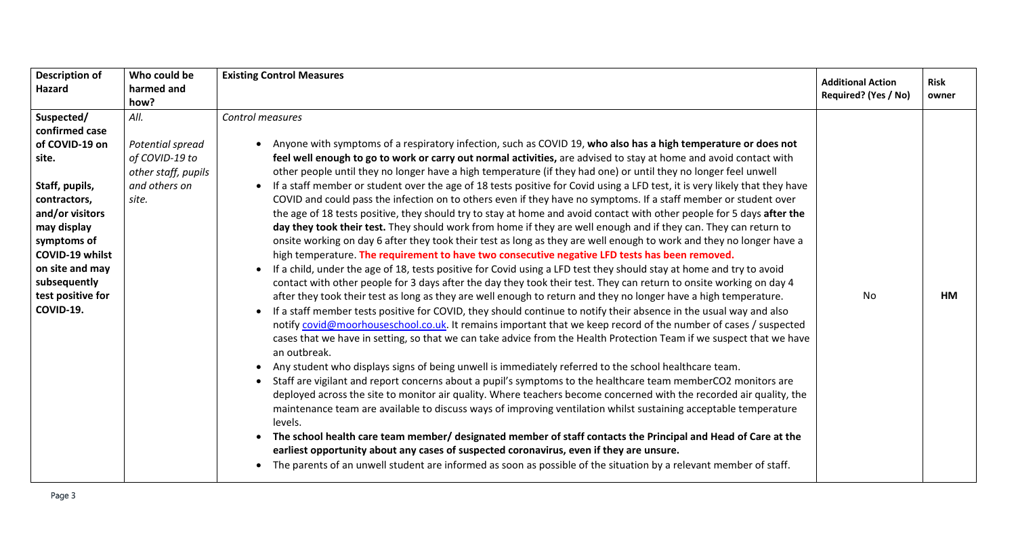| <b>Description of</b><br>Hazard                                                                                                                                                                                                           | Who could be<br>harmed and<br>how?                                                          | <b>Existing Control Measures</b>                                                                                                                                                                                                                                                                                                                                                                                                                                                                                                                                                                                                                                                                                                                                                                                                                                                                                                                                                                                                                                                                                                                                                                                                                                                                                                                                                                                                                                                                                                                                                                                                                                                                                                                                                                                                                                                                                                                                                                                                                                                                                                                                                                                                                                                                                                                                                                                                                                                                                                                                                                                                                                           | <b>Additional Action</b><br>Required? (Yes / No) | <b>Risk</b><br>owner |
|-------------------------------------------------------------------------------------------------------------------------------------------------------------------------------------------------------------------------------------------|---------------------------------------------------------------------------------------------|----------------------------------------------------------------------------------------------------------------------------------------------------------------------------------------------------------------------------------------------------------------------------------------------------------------------------------------------------------------------------------------------------------------------------------------------------------------------------------------------------------------------------------------------------------------------------------------------------------------------------------------------------------------------------------------------------------------------------------------------------------------------------------------------------------------------------------------------------------------------------------------------------------------------------------------------------------------------------------------------------------------------------------------------------------------------------------------------------------------------------------------------------------------------------------------------------------------------------------------------------------------------------------------------------------------------------------------------------------------------------------------------------------------------------------------------------------------------------------------------------------------------------------------------------------------------------------------------------------------------------------------------------------------------------------------------------------------------------------------------------------------------------------------------------------------------------------------------------------------------------------------------------------------------------------------------------------------------------------------------------------------------------------------------------------------------------------------------------------------------------------------------------------------------------------------------------------------------------------------------------------------------------------------------------------------------------------------------------------------------------------------------------------------------------------------------------------------------------------------------------------------------------------------------------------------------------------------------------------------------------------------------------------------------------|--------------------------------------------------|----------------------|
| Suspected/<br>confirmed case<br>of COVID-19 on<br>site.<br>Staff, pupils,<br>contractors,<br>and/or visitors<br>may display<br>symptoms of<br>COVID-19 whilst<br>on site and may<br>subsequently<br>test positive for<br><b>COVID-19.</b> | All.<br>Potential spread<br>of COVID-19 to<br>other staff, pupils<br>and others on<br>site. | Control measures<br>Anyone with symptoms of a respiratory infection, such as COVID 19, who also has a high temperature or does not<br>feel well enough to go to work or carry out normal activities, are advised to stay at home and avoid contact with<br>other people until they no longer have a high temperature (if they had one) or until they no longer feel unwell<br>If a staff member or student over the age of 18 tests positive for Covid using a LFD test, it is very likely that they have<br>COVID and could pass the infection on to others even if they have no symptoms. If a staff member or student over<br>the age of 18 tests positive, they should try to stay at home and avoid contact with other people for 5 days after the<br>day they took their test. They should work from home if they are well enough and if they can. They can return to<br>onsite working on day 6 after they took their test as long as they are well enough to work and they no longer have a<br>high temperature. The requirement to have two consecutive negative LFD tests has been removed.<br>If a child, under the age of 18, tests positive for Covid using a LFD test they should stay at home and try to avoid<br>contact with other people for 3 days after the day they took their test. They can return to onsite working on day 4<br>after they took their test as long as they are well enough to return and they no longer have a high temperature.<br>If a staff member tests positive for COVID, they should continue to notify their absence in the usual way and also<br>notify covid@moorhouseschool.co.uk. It remains important that we keep record of the number of cases / suspected<br>cases that we have in setting, so that we can take advice from the Health Protection Team if we suspect that we have<br>an outbreak.<br>Any student who displays signs of being unwell is immediately referred to the school healthcare team.<br>Staff are vigilant and report concerns about a pupil's symptoms to the healthcare team memberCO2 monitors are<br>deployed across the site to monitor air quality. Where teachers become concerned with the recorded air quality, the<br>maintenance team are available to discuss ways of improving ventilation whilst sustaining acceptable temperature<br>levels.<br>The school health care team member/ designated member of staff contacts the Principal and Head of Care at the<br>earliest opportunity about any cases of suspected coronavirus, even if they are unsure.<br>The parents of an unwell student are informed as soon as possible of the situation by a relevant member of staff. | No                                               | <b>HM</b>            |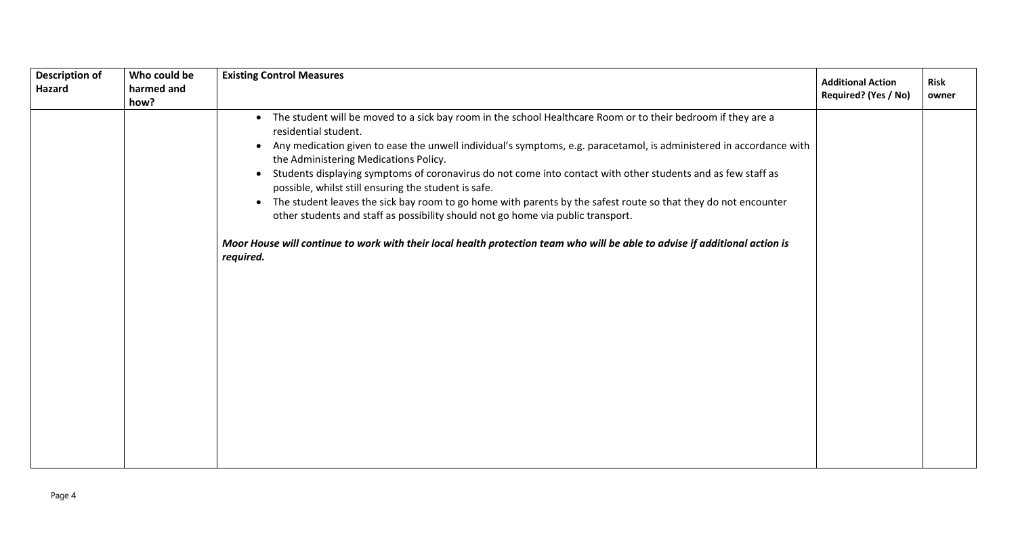| <b>Description of</b><br>Hazard | Who could be<br>harmed and<br>how? | <b>Existing Control Measures</b>                                                                                                                                                                                                                                                                                                                                                                                                                                                                                                                                                                                                                                                                                                                                                                                                            | <b>Additional Action</b><br>Required? (Yes / No) | <b>Risk</b><br>owner |
|---------------------------------|------------------------------------|---------------------------------------------------------------------------------------------------------------------------------------------------------------------------------------------------------------------------------------------------------------------------------------------------------------------------------------------------------------------------------------------------------------------------------------------------------------------------------------------------------------------------------------------------------------------------------------------------------------------------------------------------------------------------------------------------------------------------------------------------------------------------------------------------------------------------------------------|--------------------------------------------------|----------------------|
|                                 |                                    | The student will be moved to a sick bay room in the school Healthcare Room or to their bedroom if they are a<br>residential student.<br>Any medication given to ease the unwell individual's symptoms, e.g. paracetamol, is administered in accordance with<br>the Administering Medications Policy.<br>Students displaying symptoms of coronavirus do not come into contact with other students and as few staff as<br>possible, whilst still ensuring the student is safe.<br>The student leaves the sick bay room to go home with parents by the safest route so that they do not encounter<br>$\bullet$<br>other students and staff as possibility should not go home via public transport.<br>Moor House will continue to work with their local health protection team who will be able to advise if additional action is<br>required. |                                                  |                      |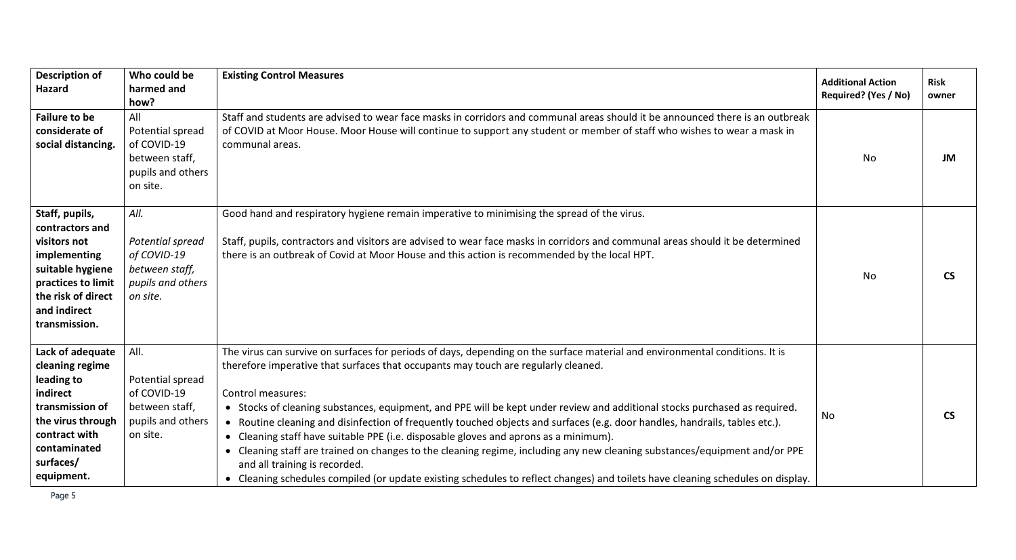| <b>Description of</b><br>Hazard                                                                                                                                    | Who could be<br>harmed and<br>how?                                                         | <b>Existing Control Measures</b>                                                                                                                                                                                                                                                                                                                                                                                                                                                                                                                                                                                                                                                                                                                                                                                                                                                           | <b>Additional Action</b><br>Required? (Yes / No) | <b>Risk</b><br>owner |
|--------------------------------------------------------------------------------------------------------------------------------------------------------------------|--------------------------------------------------------------------------------------------|--------------------------------------------------------------------------------------------------------------------------------------------------------------------------------------------------------------------------------------------------------------------------------------------------------------------------------------------------------------------------------------------------------------------------------------------------------------------------------------------------------------------------------------------------------------------------------------------------------------------------------------------------------------------------------------------------------------------------------------------------------------------------------------------------------------------------------------------------------------------------------------------|--------------------------------------------------|----------------------|
| <b>Failure to be</b><br>considerate of<br>social distancing.                                                                                                       | All<br>Potential spread<br>of COVID-19<br>between staff,<br>pupils and others<br>on site.  | Staff and students are advised to wear face masks in corridors and communal areas should it be announced there is an outbreak<br>of COVID at Moor House. Moor House will continue to support any student or member of staff who wishes to wear a mask in<br>communal areas.                                                                                                                                                                                                                                                                                                                                                                                                                                                                                                                                                                                                                | No                                               | JM                   |
| Staff, pupils,<br>contractors and<br>visitors not<br>implementing<br>suitable hygiene<br>practices to limit<br>the risk of direct<br>and indirect<br>transmission. | All.<br>Potential spread<br>of COVID-19<br>between staff,<br>pupils and others<br>on site. | Good hand and respiratory hygiene remain imperative to minimising the spread of the virus.<br>Staff, pupils, contractors and visitors are advised to wear face masks in corridors and communal areas should it be determined<br>there is an outbreak of Covid at Moor House and this action is recommended by the local HPT.                                                                                                                                                                                                                                                                                                                                                                                                                                                                                                                                                               | No                                               | <b>CS</b>            |
| Lack of adequate<br>cleaning regime<br>leading to<br>indirect<br>transmission of<br>the virus through<br>contract with<br>contaminated<br>surfaces/<br>equipment.  | All.<br>Potential spread<br>of COVID-19<br>between staff,<br>pupils and others<br>on site. | The virus can survive on surfaces for periods of days, depending on the surface material and environmental conditions. It is<br>therefore imperative that surfaces that occupants may touch are regularly cleaned.<br>Control measures:<br>• Stocks of cleaning substances, equipment, and PPE will be kept under review and additional stocks purchased as required.<br>Routine cleaning and disinfection of frequently touched objects and surfaces (e.g. door handles, handrails, tables etc.).<br>Cleaning staff have suitable PPE (i.e. disposable gloves and aprons as a minimum).<br>• Cleaning staff are trained on changes to the cleaning regime, including any new cleaning substances/equipment and/or PPE<br>and all training is recorded.<br>• Cleaning schedules compiled (or update existing schedules to reflect changes) and toilets have cleaning schedules on display. | No                                               | <b>CS</b>            |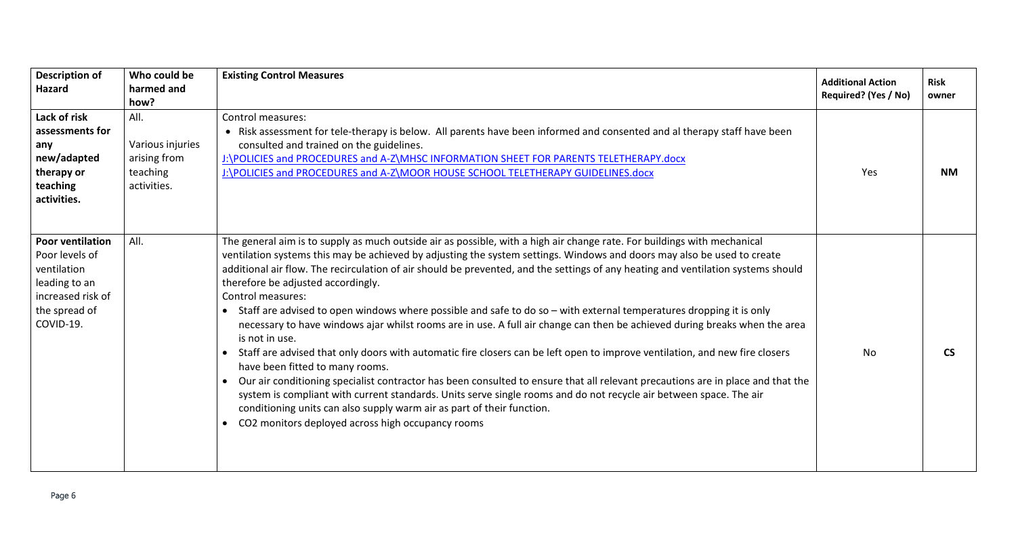| <b>Description of</b><br><b>Hazard</b>                                                                                       | Who could be<br>harmed and<br>how?                                  | <b>Existing Control Measures</b>                                                                                                                                                                                                                                                                                                                                                                                                                                                                                                                                                                                                                                                                                                                                                                                                                                                                                                                                                                                                                                                                                                                                                                                                                                                                  | <b>Additional Action</b><br>Required? (Yes / No) | <b>Risk</b><br>owner |
|------------------------------------------------------------------------------------------------------------------------------|---------------------------------------------------------------------|---------------------------------------------------------------------------------------------------------------------------------------------------------------------------------------------------------------------------------------------------------------------------------------------------------------------------------------------------------------------------------------------------------------------------------------------------------------------------------------------------------------------------------------------------------------------------------------------------------------------------------------------------------------------------------------------------------------------------------------------------------------------------------------------------------------------------------------------------------------------------------------------------------------------------------------------------------------------------------------------------------------------------------------------------------------------------------------------------------------------------------------------------------------------------------------------------------------------------------------------------------------------------------------------------|--------------------------------------------------|----------------------|
| Lack of risk<br>assessments for<br>any<br>new/adapted<br>therapy or<br>teaching<br>activities.                               | All.<br>Various injuries<br>arising from<br>teaching<br>activities. | Control measures:<br>• Risk assessment for tele-therapy is below. All parents have been informed and consented and al therapy staff have been<br>consulted and trained on the guidelines.<br>J:\POLICIES and PROCEDURES and A-Z\MHSC INFORMATION SHEET FOR PARENTS TELETHERAPY.docx<br>J:\POLICIES and PROCEDURES and A-Z\MOOR HOUSE SCHOOL TELETHERAPY GUIDELINES.docx                                                                                                                                                                                                                                                                                                                                                                                                                                                                                                                                                                                                                                                                                                                                                                                                                                                                                                                           | <b>Yes</b>                                       | <b>NM</b>            |
| <b>Poor ventilation</b><br>Poor levels of<br>ventilation<br>leading to an<br>increased risk of<br>the spread of<br>COVID-19. | All.                                                                | The general aim is to supply as much outside air as possible, with a high air change rate. For buildings with mechanical<br>ventilation systems this may be achieved by adjusting the system settings. Windows and doors may also be used to create<br>additional air flow. The recirculation of air should be prevented, and the settings of any heating and ventilation systems should<br>therefore be adjusted accordingly.<br>Control measures:<br>Staff are advised to open windows where possible and safe to do so - with external temperatures dropping it is only<br>necessary to have windows ajar whilst rooms are in use. A full air change can then be achieved during breaks when the area<br>is not in use.<br>Staff are advised that only doors with automatic fire closers can be left open to improve ventilation, and new fire closers<br>have been fitted to many rooms.<br>Our air conditioning specialist contractor has been consulted to ensure that all relevant precautions are in place and that the<br>$\bullet$<br>system is compliant with current standards. Units serve single rooms and do not recycle air between space. The air<br>conditioning units can also supply warm air as part of their function.<br>CO2 monitors deployed across high occupancy rooms | <b>No</b>                                        | <b>CS</b>            |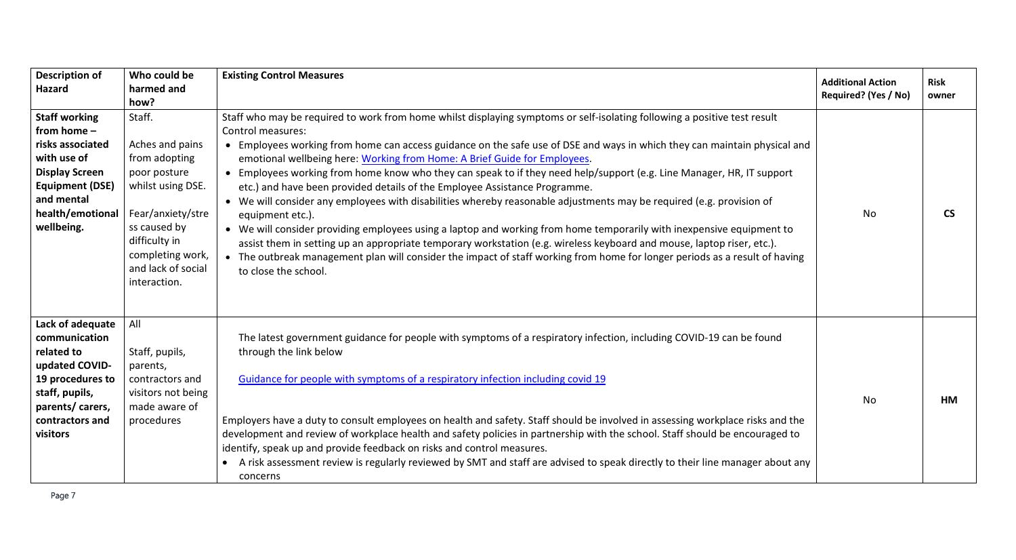| <b>Description of</b><br>Hazard                                                                                                                                             | Who could be<br>harmed and<br>how?                                                                                                                                                              | <b>Existing Control Measures</b>                                                                                                                                                                                                                                                                                                                                                                                                                                                                                                                                                                                                                                                                                                                                                                                                                                                                                                                                                                                                                                                                                      | <b>Additional Action</b><br>Required? (Yes / No) | <b>Risk</b><br>owner |
|-----------------------------------------------------------------------------------------------------------------------------------------------------------------------------|-------------------------------------------------------------------------------------------------------------------------------------------------------------------------------------------------|-----------------------------------------------------------------------------------------------------------------------------------------------------------------------------------------------------------------------------------------------------------------------------------------------------------------------------------------------------------------------------------------------------------------------------------------------------------------------------------------------------------------------------------------------------------------------------------------------------------------------------------------------------------------------------------------------------------------------------------------------------------------------------------------------------------------------------------------------------------------------------------------------------------------------------------------------------------------------------------------------------------------------------------------------------------------------------------------------------------------------|--------------------------------------------------|----------------------|
| <b>Staff working</b><br>from home $-$<br>risks associated<br>with use of<br><b>Display Screen</b><br><b>Equipment (DSE)</b><br>and mental<br>health/emotional<br>wellbeing. | Staff.<br>Aches and pains<br>from adopting<br>poor posture<br>whilst using DSE.<br>Fear/anxiety/stre<br>ss caused by<br>difficulty in<br>completing work,<br>and lack of social<br>interaction. | Staff who may be required to work from home whilst displaying symptoms or self-isolating following a positive test result<br>Control measures:<br>• Employees working from home can access guidance on the safe use of DSE and ways in which they can maintain physical and<br>emotional wellbeing here: Working from Home: A Brief Guide for Employees.<br>• Employees working from home know who they can speak to if they need help/support (e.g. Line Manager, HR, IT support<br>etc.) and have been provided details of the Employee Assistance Programme.<br>• We will consider any employees with disabilities whereby reasonable adjustments may be required (e.g. provision of<br>equipment etc.).<br>• We will consider providing employees using a laptop and working from home temporarily with inexpensive equipment to<br>assist them in setting up an appropriate temporary workstation (e.g. wireless keyboard and mouse, laptop riser, etc.).<br>• The outbreak management plan will consider the impact of staff working from home for longer periods as a result of having<br>to close the school. | No                                               | <b>CS</b>            |
| Lack of adequate<br>communication<br>related to<br>updated COVID-<br>19 procedures to<br>staff, pupils,<br>parents/ carers,<br>contractors and<br>visitors                  | All<br>Staff, pupils,<br>parents,<br>contractors and<br>visitors not being<br>made aware of<br>procedures                                                                                       | The latest government guidance for people with symptoms of a respiratory infection, including COVID-19 can be found<br>through the link below<br>Guidance for people with symptoms of a respiratory infection including covid 19<br>Employers have a duty to consult employees on health and safety. Staff should be involved in assessing workplace risks and the<br>development and review of workplace health and safety policies in partnership with the school. Staff should be encouraged to<br>identify, speak up and provide feedback on risks and control measures.<br>A risk assessment review is regularly reviewed by SMT and staff are advised to speak directly to their line manager about any<br>concerns                                                                                                                                                                                                                                                                                                                                                                                             | No                                               | <b>HM</b>            |